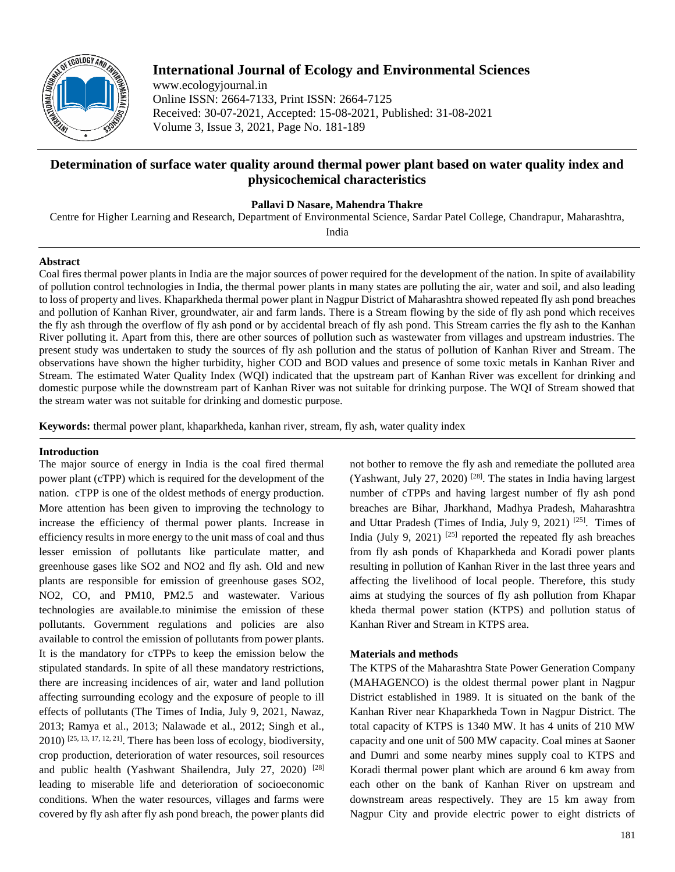

# **International Journal of Ecology and Environmental Sciences**

www.ecologyjournal.in Online ISSN: 2664-7133, Print ISSN: 2664-7125 Received: 30-07-2021, Accepted: 15-08-2021, Published: 31-08-2021 Volume 3, Issue 3, 2021, Page No. 181-189

# **Determination of surface water quality around thermal power plant based on water quality index and physicochemical characteristics**

**Pallavi D Nasare, Mahendra Thakre**

Centre for Higher Learning and Research, Department of Environmental Science, Sardar Patel College, Chandrapur, Maharashtra,

India

#### **Abstract**

Coal fires thermal power plants in India are the major sources of power required for the development of the nation. In spite of availability of pollution control technologies in India, the thermal power plants in many states are polluting the air, water and soil, and also leading to loss of property and lives. Khaparkheda thermal power plant in Nagpur District of Maharashtra showed repeated fly ash pond breaches and pollution of Kanhan River, groundwater, air and farm lands. There is a Stream flowing by the side of fly ash pond which receives the fly ash through the overflow of fly ash pond or by accidental breach of fly ash pond. This Stream carries the fly ash to the Kanhan River polluting it. Apart from this, there are other sources of pollution such as wastewater from villages and upstream industries. The present study was undertaken to study the sources of fly ash pollution and the status of pollution of Kanhan River and Stream. The observations have shown the higher turbidity, higher COD and BOD values and presence of some toxic metals in Kanhan River and Stream. The estimated Water Quality Index (WQI) indicated that the upstream part of Kanhan River was excellent for drinking and domestic purpose while the downstream part of Kanhan River was not suitable for drinking purpose. The WQI of Stream showed that the stream water was not suitable for drinking and domestic purpose.

**Keywords:** thermal power plant, khaparkheda, kanhan river, stream, fly ash, water quality index

#### **Introduction**

The major source of energy in India is the coal fired thermal power plant (cTPP) which is required for the development of the nation. cTPP is one of the oldest methods of energy production. More attention has been given to improving the technology to increase the efficiency of thermal power plants. Increase in efficiency results in more energy to the unit mass of coal and thus lesser emission of pollutants like particulate matter, and greenhouse gases like SO2 and NO2 and fly ash. Old and new plants are responsible for emission of greenhouse gases SO2, NO2, CO, and PM10, PM2.5 and wastewater. Various technologies are available.to minimise the emission of these pollutants. Government regulations and policies are also available to control the emission of pollutants from power plants. It is the mandatory for cTPPs to keep the emission below the stipulated standards. In spite of all these mandatory restrictions, there are increasing incidences of air, water and land pollution affecting surrounding ecology and the exposure of people to ill effects of pollutants (The Times of India, July 9, 2021, Nawaz, 2013; Ramya et al., 2013; Nalawade et al., 2012; Singh et al.,  $2010$ )  $^{[25, 13, 17, 12, 21]}$ . There has been loss of ecology, biodiversity, crop production, deterioration of water resources, soil resources and public health (Yashwant Shailendra, July 27, 2020) [28] leading to miserable life and deterioration of socioeconomic conditions. When the water resources, villages and farms were covered by fly ash after fly ash pond breach, the power plants did

not bother to remove the fly ash and remediate the polluted area (Yashwant, July 27, 2020)<sup>[28]</sup>. The states in India having largest number of cTPPs and having largest number of fly ash pond breaches are Bihar, Jharkhand, Madhya Pradesh, Maharashtra and Uttar Pradesh (Times of India, July 9, 2021) [25]. Times of India (July 9, 2021)  $^{[25]}$  reported the repeated fly ash breaches from fly ash ponds of Khaparkheda and Koradi power plants resulting in pollution of Kanhan River in the last three years and affecting the livelihood of local people. Therefore, this study aims at studying the sources of fly ash pollution from Khapar kheda thermal power station (KTPS) and pollution status of Kanhan River and Stream in KTPS area.

#### **Materials and methods**

The KTPS of the Maharashtra State Power Generation Company (MAHAGENCO) is the oldest thermal power plant in Nagpur District established in 1989. It is situated on the bank of the Kanhan River near Khaparkheda Town in Nagpur District. The total capacity of KTPS is 1340 MW. It has 4 units of 210 MW capacity and one unit of 500 MW capacity. Coal mines at Saoner and Dumri and some nearby mines supply coal to KTPS and Koradi thermal power plant which are around 6 km away from each other on the bank of Kanhan River on upstream and downstream areas respectively. They are 15 km away from Nagpur City and provide electric power to eight districts of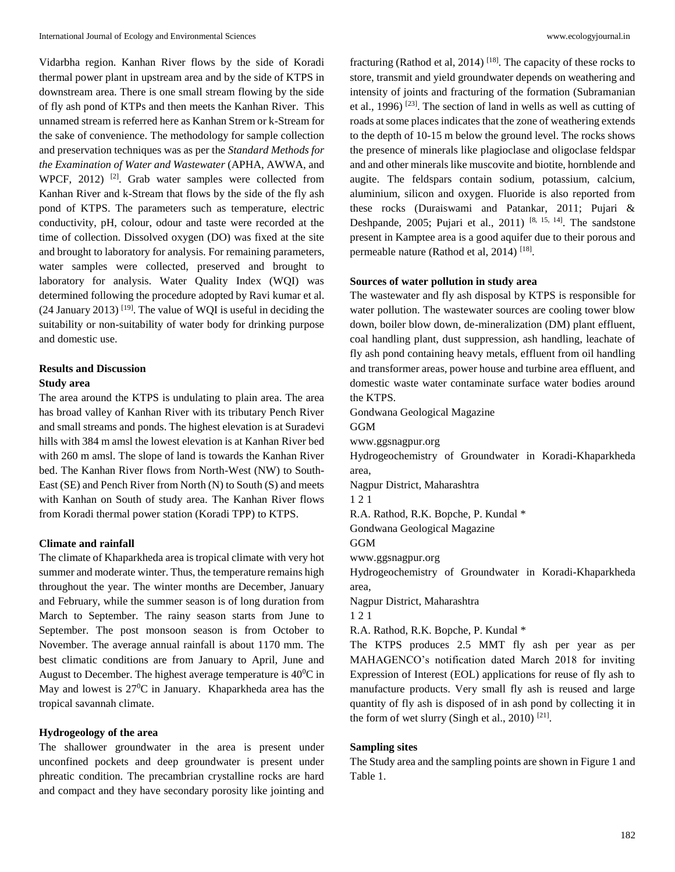Vidarbha region. Kanhan River flows by the side of Koradi thermal power plant in upstream area and by the side of KTPS in downstream area. There is one small stream flowing by the side of fly ash pond of KTPs and then meets the Kanhan River. This unnamed stream is referred here as Kanhan Strem or k-Stream for the sake of convenience. The methodology for sample collection and preservation techniques was as per the *Standard Methods for the Examination of Water and Wastewater* (APHA, AWWA, and WPCF, 2012)<sup>[2]</sup>. Grab water samples were collected from Kanhan River and k-Stream that flows by the side of the fly ash pond of KTPS. The parameters such as temperature, electric conductivity, pH, colour, odour and taste were recorded at the time of collection. Dissolved oxygen (DO) was fixed at the site and brought to laboratory for analysis. For remaining parameters, water samples were collected, preserved and brought to laboratory for analysis. Water Quality Index (WQI) was determined following the procedure adopted by Ravi kumar et al.  $(24$  January 2013) <sup>[19]</sup>. The value of WQI is useful in deciding the suitability or non-suitability of water body for drinking purpose and domestic use.

# **Results and Discussion**

## **Study area**

The area around the KTPS is undulating to plain area. The area has broad valley of Kanhan River with its tributary Pench River and small streams and ponds. The highest elevation is at Suradevi hills with 384 m amsl the lowest elevation is at Kanhan River bed with 260 m amsl. The slope of land is towards the Kanhan River bed. The Kanhan River flows from North-West (NW) to South-East (SE) and Pench River from North (N) to South (S) and meets with Kanhan on South of study area. The Kanhan River flows from Koradi thermal power station (Koradi TPP) to KTPS.

### **Climate and rainfall**

The climate of Khaparkheda area is tropical climate with very hot summer and moderate winter. Thus, the temperature remains high throughout the year. The winter months are December, January and February, while the summer season is of long duration from March to September. The rainy season starts from June to September. The post monsoon season is from October to November. The average annual rainfall is about 1170 mm. The best climatic conditions are from January to April, June and August to December. The highest average temperature is  $40^{\circ}$ C in May and lowest is  $27^{\circ}$ C in January. Khaparkheda area has the tropical savannah climate.

## **Hydrogeology of the area**

The shallower groundwater in the area is present under unconfined pockets and deep groundwater is present under phreatic condition. The precambrian crystalline rocks are hard and compact and they have secondary porosity like jointing and

fracturing (Rathod et al, 2014)  $^{[18]}$ . The capacity of these rocks to store, transmit and yield groundwater depends on weathering and intensity of joints and fracturing of the formation (Subramanian et al., 1996)  $[23]$ . The section of land in wells as well as cutting of roads at some places indicates that the zone of weathering extends to the depth of 10-15 m below the ground level. The rocks shows the presence of minerals like plagioclase and oligoclase feldspar and and other minerals like muscovite and biotite, hornblende and augite. The feldspars contain sodium, potassium, calcium, aluminium, silicon and oxygen. Fluoride is also reported from these rocks (Duraiswami and Patankar, 2011; Pujari & Deshpande, 2005; Pujari et al., 2011)<sup>[8, 15, 14]</sup>. The sandstone present in Kamptee area is a good aquifer due to their porous and permeable nature (Rathod et al, 2014)<sup>[18]</sup>.

#### **Sources of water pollution in study area**

The wastewater and fly ash disposal by KTPS is responsible for water pollution. The wastewater sources are cooling tower blow down, boiler blow down, de-mineralization (DM) plant effluent, coal handling plant, dust suppression, ash handling, leachate of fly ash pond containing heavy metals, effluent from oil handling and transformer areas, power house and turbine area effluent, and domestic waste water contaminate surface water bodies around the KTPS.

Gondwana Geological Magazine

GGM

www.ggsnagpur.org

Hydrogeochemistry of Groundwater in Koradi-Khaparkheda area,

Nagpur District, Maharashtra

1 2 1

R.A. Rathod, R.K. Bopche, P. Kundal \*

Gondwana Geological Magazine

GGM

www.ggsnagpur.org

Hydrogeochemistry of Groundwater in Koradi-Khaparkheda area,

Nagpur District, Maharashtra

1 2 1

R.A. Rathod, R.K. Bopche, P. Kundal \*

The KTPS produces 2.5 MMT fly ash per year as per MAHAGENCO's notification dated March 2018 for inviting Expression of Interest (EOL) applications for reuse of fly ash to manufacture products. Very small fly ash is reused and large quantity of fly ash is disposed of in ash pond by collecting it in the form of wet slurry (Singh et al., 2010)<sup>[21]</sup>.

#### **Sampling sites**

The Study area and the sampling points are shown in Figure 1 and Table 1.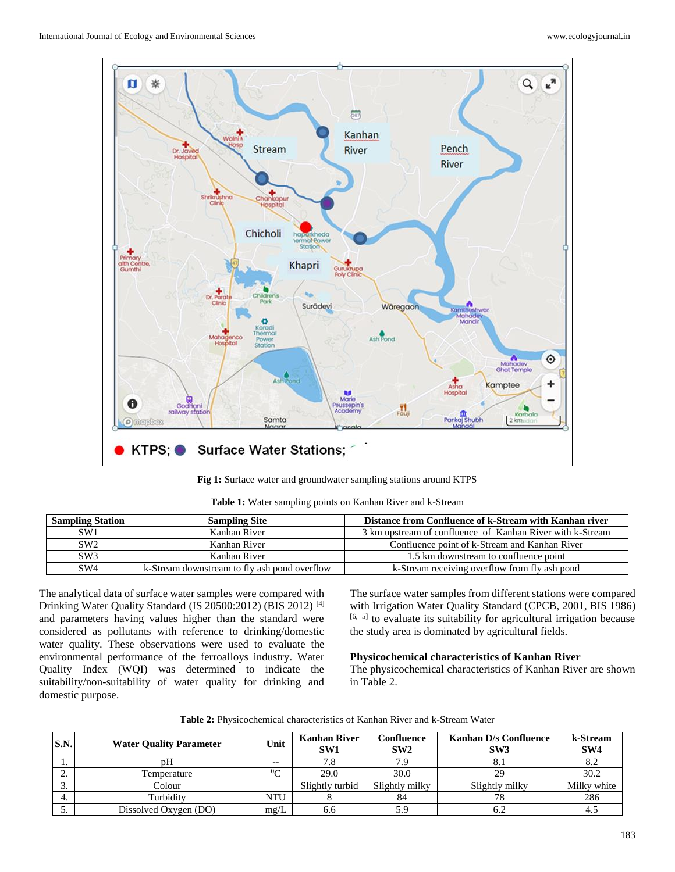

**Fig 1:** Surface water and groundwater sampling stations around KTPS

| <b>Sampling Station</b> | <b>Sampling Site</b>                         | Distance from Confluence of k-Stream with Kanhan river    |
|-------------------------|----------------------------------------------|-----------------------------------------------------------|
| SW1                     | Kanhan River                                 | 3 km upstream of confluence of Kanhan River with k-Stream |
| SW <sub>2</sub>         | Kanhan River                                 | Confluence point of k-Stream and Kanhan River             |
| SW3                     | Kanhan River                                 | 1.5 km downstream to confluence point                     |
| SW <sub>4</sub>         | k-Stream downstream to fly ash pond overflow | k-Stream receiving overflow from fly ash pond             |

**Table 1:** Water sampling points on Kanhan River and k-Stream

The analytical data of surface water samples were compared with Drinking Water Quality Standard (IS 20500:2012) (BIS 2012) [4] and parameters having values higher than the standard were considered as pollutants with reference to drinking/domestic water quality. These observations were used to evaluate the environmental performance of the ferroalloys industry. Water Quality Index (WQI) was determined to indicate the suitability/non-suitability of water quality for drinking and domestic purpose.

The surface water samples from different stations were compared with Irrigation Water Quality Standard (CPCB, 2001, BIS 1986) [6, 5] to evaluate its suitability for agricultural irrigation because the study area is dominated by agricultural fields.

# **Physicochemical characteristics of Kanhan River**

The physicochemical characteristics of Kanhan River are shown in Table 2.

| S.N.          | <b>Water Quality Parameter</b> | Unit | <b>Kanhan River</b> | Confluence     | <b>Kanhan D/s Confluence</b> | k-Stream    |
|---------------|--------------------------------|------|---------------------|----------------|------------------------------|-------------|
|               |                                |      | SW1                 | SW2            | SW <sub>3</sub>              | SW4         |
| . .           | DП                             |      | 7.8                 | 7.9            | $\mathbf{O}_{\bullet}$ .     |             |
| <u>.</u>      | Temperature                    |      | 29.0                | 30.0           | 29                           | 30.2        |
| $\sim$<br>. ب | Colour                         |      | Slightly turbid     | Slightly milky | Slightly milky               | Milky white |
| 4.            | Turbidity                      |      |                     |                |                              | 286         |
| J.            | Dissolved Oxygen (DO)          |      | 6.6                 | 5.9            | 0.2                          |             |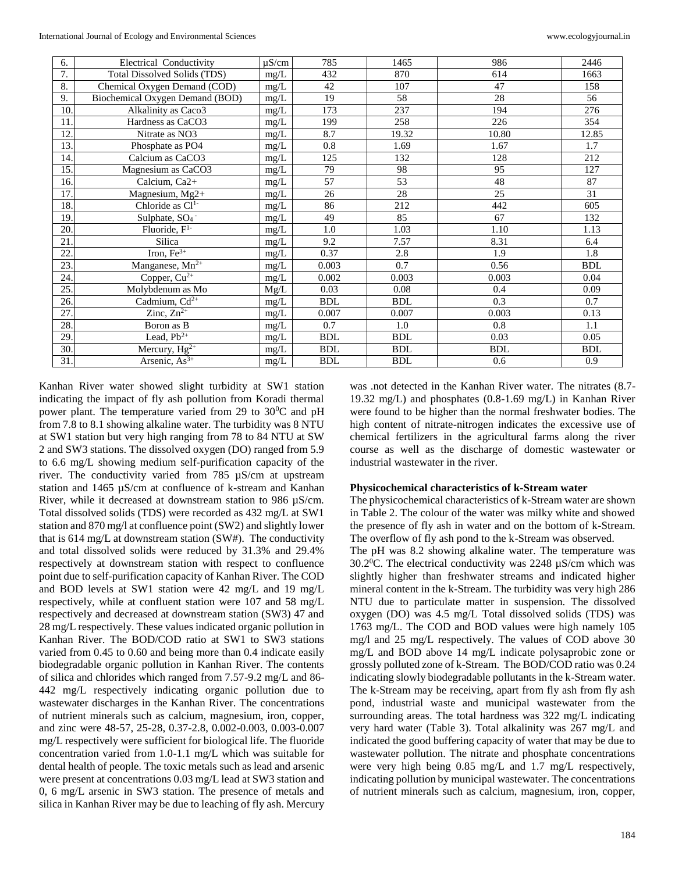| 6.                | <b>Electrical Conductivity</b>  |        | 785        | 1465             | 986        | 2446       |
|-------------------|---------------------------------|--------|------------|------------------|------------|------------|
| $\overline{7}$ .  | Total Dissolved Solids (TDS)    |        | 432        | 870              | 614        | 1663       |
| 8.                | Chemical Oxygen Demand (COD)    | mg/L   | 42         | 107              | 47         | 158        |
| 9.                | Biochemical Oxygen Demand (BOD) | mg/L   | 19         | 58               | 28         | 56         |
| 10.               | Alkalinity as Caco3             | mg/L   | 173        | 237              | 194        | 276        |
| 11                | Hardness as CaCO3               | mg/L   | 199        | 258              | 226        | 354        |
| 12.               | Nitrate as NO3                  | mg/L   | 8.7        | 19.32            | 10.80      | 12.85      |
| 13.               | Phosphate as PO4                | mg/L   | 0.8        | 1.69             | 1.67       | 1.7        |
| 14.               | Calcium as CaCO3                | mg/L   | 125        | 132              | 128        | 212        |
| 15.               | Magnesium as CaCO3              | mg/L   | 79         | 98               | 95         | 127        |
| 16.               | Calcium, Ca <sub>2+</sub>       | mg/L   | 57         | 53               | 48         | 87         |
| 17.               | Magnesium, Mg2+                 | mg/L   | 26         | 28               | 25         | 31         |
| 18.               | Chloride as Cl <sup>1-</sup>    | $mg/L$ | 86         | $\overline{212}$ | 442        | 605        |
| 19.               | Sulphate, SO <sub>4</sub> -     | mg/L   | 49         | 85               | 67         | 132        |
| 20.               | Fluoride, $F^{1-}$              | mg/L   | 1.0        | 1.03             | 1.10       | 1.13       |
| 21.               | Silica                          | mg/L   | 9.2        | 7.57             | 8.31       | 6.4        |
| 22.               | Iron, $Fe^{3+}$                 | mg/L   | 0.37       | 2.8              | 1.9        | 1.8        |
| 23.               | Manganese, Mn <sup>2+</sup>     | mg/L   | 0.003      | 0.7              | 0.56       | <b>BDL</b> |
| 24.               | Copper, $Cu^{2+}$               | mg/L   | 0.002      | 0.003            | 0.003      | 0.04       |
| $\overline{25}$ . | Molybdenum as Mo                | Mg/L   | 0.03       | 0.08             | 0.4        | 0.09       |
| 26.               | Cadmium, Cd <sup>2+</sup>       | mg/L   | <b>BDL</b> | <b>BDL</b>       | 0.3        | 0.7        |
| 27.               | Zinc, $Zn^{2+}$                 |        | 0.007      | 0.007            | 0.003      | 0.13       |
| 28.               | Boron as B                      | mg/L   | 0.7        | 1.0              | 0.8        | 1.1        |
| 29.               | Lead, $Pb^{2+}$                 |        | <b>BDL</b> | <b>BDL</b>       | 0.03       | 0.05       |
| 30.               | Mercury, $Hg^{2+}$              | mg/L   | <b>BDL</b> | <b>BDL</b>       | <b>BDL</b> | <b>BDL</b> |
| 31.               | Arsenic, $As3+$                 | mg/L   | <b>BDL</b> | <b>BDL</b>       | 0.6        | 0.9        |

Kanhan River water showed slight turbidity at SW1 station indicating the impact of fly ash pollution from Koradi thermal power plant. The temperature varied from 29 to  $30^0C$  and pH from 7.8 to 8.1 showing alkaline water. The turbidity was 8 NTU at SW1 station but very high ranging from 78 to 84 NTU at SW 2 and SW3 stations. The dissolved oxygen (DO) ranged from 5.9 to 6.6 mg/L showing medium self-purification capacity of the river. The conductivity varied from 785 µS/cm at upstream station and 1465 µS/cm at confluence of k-stream and Kanhan River, while it decreased at downstream station to 986 µS/cm. Total dissolved solids (TDS) were recorded as 432 mg/L at SW1 station and 870 mg/l at confluence point (SW2) and slightly lower that is 614 mg/L at downstream station (SW#). The conductivity and total dissolved solids were reduced by 31.3% and 29.4% respectively at downstream station with respect to confluence point due to self-purification capacity of Kanhan River. The COD and BOD levels at SW1 station were 42 mg/L and 19 mg/L respectively, while at confluent station were 107 and 58 mg/L respectively and decreased at downstream station (SW3) 47 and 28 mg/L respectively. These values indicated organic pollution in Kanhan River. The BOD/COD ratio at SW1 to SW3 stations varied from 0.45 to 0.60 and being more than 0.4 indicate easily biodegradable organic pollution in Kanhan River. The contents of silica and chlorides which ranged from 7.57-9.2 mg/L and 86- 442 mg/L respectively indicating organic pollution due to wastewater discharges in the Kanhan River. The concentrations of nutrient minerals such as calcium, magnesium, iron, copper, and zinc were 48-57, 25-28, 0.37-2.8, 0.002-0.003, 0.003-0.007 mg/L respectively were sufficient for biological life. The fluoride concentration varied from 1.0-1.1 mg/L which was suitable for dental health of people. The toxic metals such as lead and arsenic were present at concentrations 0.03 mg/L lead at SW3 station and 0, 6 mg/L arsenic in SW3 station. The presence of metals and silica in Kanhan River may be due to leaching of fly ash. Mercury

was .not detected in the Kanhan River water. The nitrates (8.7- 19.32 mg/L) and phosphates (0.8-1.69 mg/L) in Kanhan River were found to be higher than the normal freshwater bodies. The high content of nitrate-nitrogen indicates the excessive use of chemical fertilizers in the agricultural farms along the river course as well as the discharge of domestic wastewater or industrial wastewater in the river.

#### **Physicochemical characteristics of k-Stream water**

The physicochemical characteristics of k-Stream water are shown in Table 2. The colour of the water was milky white and showed the presence of fly ash in water and on the bottom of k-Stream. The overflow of fly ash pond to the k-Stream was observed.

The pH was 8.2 showing alkaline water. The temperature was 30.2 $^{\circ}$ C. The electrical conductivity was 2248  $\mu$ S/cm which was slightly higher than freshwater streams and indicated higher mineral content in the k-Stream. The turbidity was very high 286 NTU due to particulate matter in suspension. The dissolved oxygen (DO) was 4.5 mg/L Total dissolved solids (TDS) was 1763 mg/L. The COD and BOD values were high namely 105 mg/l and 25 mg/L respectively. The values of COD above 30 mg/L and BOD above 14 mg/L indicate polysaprobic zone or grossly polluted zone of k-Stream. The BOD/COD ratio was 0.24 indicating slowly biodegradable pollutants in the k-Stream water. The k-Stream may be receiving, apart from fly ash from fly ash pond, industrial waste and municipal wastewater from the surrounding areas. The total hardness was 322 mg/L indicating very hard water (Table 3). Total alkalinity was 267 mg/L and indicated the good buffering capacity of water that may be due to wastewater pollution. The nitrate and phosphate concentrations were very high being 0.85 mg/L and 1.7 mg/L respectively, indicating pollution by municipal wastewater. The concentrations of nutrient minerals such as calcium, magnesium, iron, copper,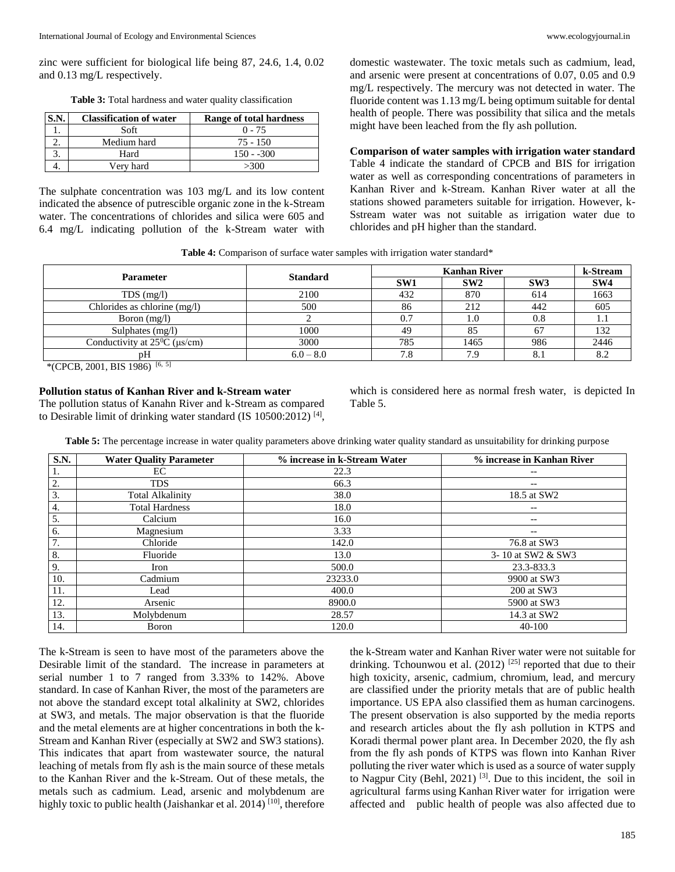zinc were sufficient for biological life being 87, 24.6, 1.4, 0.02 and 0.13 mg/L respectively.

| S.N. | <b>Classification of water</b> | Range of total hardness |
|------|--------------------------------|-------------------------|
|      | Soft                           | $0 - 75$                |
|      | Medium hard                    | $75 - 150$              |
|      | Hard                           | $150 - 300$             |
|      | Very hard                      | >300                    |

The sulphate concentration was 103 mg/L and its low content indicated the absence of putrescible organic zone in the k-Stream water. The concentrations of chlorides and silica were 605 and 6.4 mg/L indicating pollution of the k-Stream water with domestic wastewater. The toxic metals such as cadmium, lead, and arsenic were present at concentrations of 0.07, 0.05 and 0.9 mg/L respectively. The mercury was not detected in water. The fluoride content was 1.13 mg/L being optimum suitable for dental health of people. There was possibility that silica and the metals might have been leached from the fly ash pollution.

**Comparison of water samples with irrigation water standard** Table 4 indicate the standard of CPCB and BIS for irrigation water as well as corresponding concentrations of parameters in Kanhan River and k-Stream. Kanhan River water at all the stations showed parameters suitable for irrigation. However, k-Sstream water was not suitable as irrigation water due to chlorides and pH higher than the standard.

|  |  |  |  |  |  | <b>Table 4:</b> Comparison of surface water samples with irrigation water standard* |  |
|--|--|--|--|--|--|-------------------------------------------------------------------------------------|--|
|  |  |  |  |  |  |                                                                                     |  |
|  |  |  |  |  |  |                                                                                     |  |

| <b>Parameter</b>                             | <b>Standard</b> |     | <b>Kanhan River</b> |                |                 |  |
|----------------------------------------------|-----------------|-----|---------------------|----------------|-----------------|--|
|                                              |                 | SW1 | SW2                 | SW3            | SW <sub>4</sub> |  |
| $TDS$ (mg/l)                                 | 2100            | 432 | 870                 | 614            | 1663            |  |
| Chlorides as chlorine $(mg/l)$               | 500             | 86  | 212                 | 442            | 605             |  |
| Boron $(mg/l)$                               |                 | 0.7 | 1.0                 | 0.8            | 1.1             |  |
| Sulphates $(mg/l)$                           | 1000            | 49  | 85                  |                | 132             |  |
| Conductivity at $25^{\circ}$ C ( $\mu$ s/cm) | 3000            | 785 | 1465                | 986            | 2446            |  |
| рH                                           | $6.0 - 8.0$     | 7.8 | 7.9                 | $\mathbf{O}$ . |                 |  |

\*(CPCB, 2001, BIS 1986) [6, 5]

#### **Pollution status of Kanhan River and k-Stream water**

The pollution status of Kanahn River and k-Stream as compared to Desirable limit of drinking water standard (IS 10500:2012)<sup>[4]</sup>,

which is considered here as normal fresh water, is depicted In Table 5.

Table 5: The percentage increase in water quality parameters above drinking water quality standard as unsuitability for drinking purpose

| <b>S.N.</b> | <b>Water Quality Parameter</b> | % increase in k-Stream Water | % increase in Kanhan River |
|-------------|--------------------------------|------------------------------|----------------------------|
| 1.          | EC                             | 22.3                         | $\qquad \qquad -$          |
| 2.          | <b>TDS</b>                     | 66.3                         | $- -$                      |
| 3.          | <b>Total Alkalinity</b>        | 38.0                         | 18.5 at SW2                |
| 4.          | <b>Total Hardness</b>          | 18.0                         |                            |
| 5.          | Calcium                        | 16.0                         | $- -$                      |
| 6.          | Magnesium                      | 3.33                         | $\qquad \qquad -$          |
| 7.          | Chloride                       | 142.0                        | 76.8 at SW3                |
| 8.          | Fluoride                       | 13.0                         | 3-10 at SW2 & SW3          |
| 9.          | Iron                           | 500.0                        | 23.3-833.3                 |
| 10.         | Cadmium                        | 23233.0                      | 9900 at SW3                |
| 11.         | Lead                           | 400.0                        | 200 at SW3                 |
| 12.         | Arsenic                        | 8900.0                       | 5900 at SW3                |
| 13.         | Molybdenum                     | 28.57                        | 14.3 at SW2                |
| 14.         | Boron                          | 120.0                        | $40-100$                   |

The k-Stream is seen to have most of the parameters above the Desirable limit of the standard. The increase in parameters at serial number 1 to 7 ranged from 3.33% to 142%. Above standard. In case of Kanhan River, the most of the parameters are not above the standard except total alkalinity at SW2, chlorides at SW3, and metals. The major observation is that the fluoride and the metal elements are at higher concentrations in both the k-Stream and Kanhan River (especially at SW2 and SW3 stations). This indicates that apart from wastewater source, the natural leaching of metals from fly ash is the main source of these metals to the Kanhan River and the k-Stream. Out of these metals, the metals such as cadmium. Lead, arsenic and molybdenum are highly toxic to public health (Jaishankar et al. 2014)<sup>[10]</sup>, therefore

the k-Stream water and Kanhan River water were not suitable for drinking. Tchounwou et al.  $(2012)$ <sup>[25]</sup> reported that due to their high toxicity, arsenic, cadmium, chromium, lead, and mercury are classified under the priority metals that are of public health importance. US EPA also classified them as human carcinogens. The present observation is also supported by the media reports and research articles about the fly ash pollution in KTPS and Koradi thermal power plant area. In December 2020, the fly ash from the fly ash ponds of KTPS was flown into Kanhan River polluting the river water which is used as a source of water supply to Nagpur City (Behl, 2021) [3]. Due to this incident, the soil in agricultural farms using Kanhan River water for irrigation were affected and public health of people was also affected due to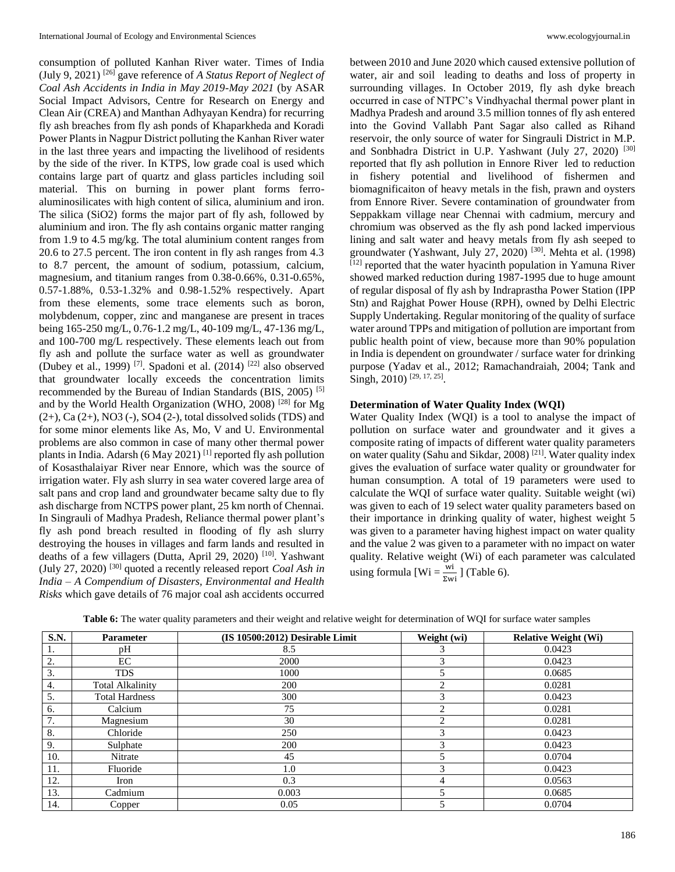consumption of polluted Kanhan River water. Times of India (July 9, 2021) [26] gave reference of *A Status Report of Neglect of Coal Ash Accidents in India in May 2019-May 2021* (by ASAR Social Impact Advisors, Centre for Research on Energy and Clean Air (CREA) and Manthan Adhyayan Kendra) for recurring fly ash breaches from fly ash ponds of Khaparkheda and Koradi Power Plants in Nagpur District polluting the Kanhan River water in the last three years and impacting the livelihood of residents by the side of the river. In KTPS, low grade coal is used which contains large part of quartz and glass particles including soil material. This on burning in power plant forms ferroaluminosilicates with high content of silica, aluminium and iron. The silica (SiO2) forms the major part of fly ash, followed by aluminium and iron. The fly ash contains organic matter ranging from 1.9 to 4.5 mg/kg. The total aluminium content ranges from 20.6 to 27.5 percent. The iron content in fly ash ranges from 4.3 to 8.7 percent, the amount of sodium, potassium, calcium, magnesium, and titanium ranges from 0.38-0.66%, 0.31-0.65%, 0.57-1.88%, 0.53-1.32% and 0.98-1.52% respectively. Apart from these elements, some trace elements such as boron, molybdenum, copper, zinc and manganese are present in traces being 165-250 mg/L, 0.76-1.2 mg/L, 40-109 mg/L, 47-136 mg/L, and 100-700 mg/L respectively. These elements leach out from fly ash and pollute the surface water as well as groundwater (Dubey et al., 1999)<sup>[7]</sup>. Spadoni et al.  $(2014)$ <sup>[22]</sup> also observed that groundwater locally exceeds the concentration limits recommended by the Bureau of Indian Standards (BIS, 2005)<sup>[5]</sup> and by the World Health Organization (WHO, 2008) [28] for Mg  $(2+)$ , Ca  $(2+)$ , NO3  $(-)$ , SO4  $(2-)$ , total dissolved solids (TDS) and for some minor elements like As, Mo, V and U. Environmental problems are also common in case of many other thermal power plants in India. Adarsh (6 May 2021)<sup>[1]</sup> reported fly ash pollution of Kosasthalaiyar River near Ennore, which was the source of irrigation water. Fly ash slurry in sea water covered large area of salt pans and crop land and groundwater became salty due to fly ash discharge from NCTPS power plant, 25 km north of Chennai. In Singrauli of Madhya Pradesh, Reliance thermal power plant's fly ash pond breach resulted in flooding of fly ash slurry destroying the houses in villages and farm lands and resulted in deaths of a few villagers (Dutta, April 29, 2020) [10]. Yashwant (July 27, 2020) [30] quoted a recently released report *Coal Ash in India – A Compendium of Disasters, Environmental and Health Risks* which gave details of 76 major coal ash accidents occurred

between 2010 and June 2020 which caused extensive pollution of water, air and soil leading to deaths and loss of property in surrounding villages. In October 2019, fly ash dyke breach occurred in case of NTPC's Vindhyachal thermal power plant in Madhya Pradesh and around 3.5 million tonnes of fly ash entered into the Govind Vallabh Pant Sagar also called as Rihand reservoir, the only source of water for Singrauli District in M.P. and Sonbhadra District in U.P. Yashwant (July 27, 2020)<sup>[30]</sup> reported that fly ash pollution in Ennore River led to reduction in fishery potential and livelihood of fishermen and biomagnificaiton of heavy metals in the fish, prawn and oysters from Ennore River. Severe contamination of groundwater from Seppakkam village near Chennai with cadmium, mercury and chromium was observed as the fly ash pond lacked impervious lining and salt water and heavy metals from fly ash seeped to groundwater (Yashwant, July 27, 2020) [30]. Mehta et al. (1998) [12] reported that the water hyacinth population in Yamuna River showed marked reduction during 1987-1995 due to huge amount of regular disposal of fly ash by Indraprastha Power Station (IPP Stn) and Rajghat Power House (RPH), owned by Delhi Electric Supply Undertaking. Regular monitoring of the quality of surface water around TPPs and mitigation of pollution are important from public health point of view, because more than 90% population in India is dependent on groundwater / surface water for drinking purpose (Yadav et al., 2012; Ramachandraiah, 2004; Tank and Singh, 2010)<sup>[29, 17, 25]</sup>.

#### **Determination of Water Quality Index (WQI)**

Water Quality Index (WQI) is a tool to analyse the impact of pollution on surface water and groundwater and it gives a composite rating of impacts of different water quality parameters on water quality (Sahu and Sikdar, 2008) [21]. Water quality index gives the evaluation of surface water quality or groundwater for human consumption. A total of 19 parameters were used to calculate the WQI of surface water quality. Suitable weight (wi) was given to each of 19 select water quality parameters based on their importance in drinking quality of water, highest weight 5 was given to a parameter having highest impact on water quality and the value 2 was given to a parameter with no impact on water quality. Relative weight (Wi) of each parameter was calculated using formula  $[Wi = \frac{wi}{\Sigma wi}]$  (Table 6).

| <b>S.N.</b> | <b>Parameter</b>        | (IS 10500:2012) Desirable Limit | Weight (wi)    | <b>Relative Weight (Wi)</b> |
|-------------|-------------------------|---------------------------------|----------------|-----------------------------|
| 1.          | pН                      | 8.5                             |                | 0.0423                      |
| 2.          | EC                      | 2000                            |                | 0.0423                      |
| 3.          | <b>TDS</b>              | 1000                            |                | 0.0685                      |
| 4.          | <b>Total Alkalinity</b> | 200                             | ↑              | 0.0281                      |
| 5.          | <b>Total Hardness</b>   | 300                             |                | 0.0423                      |
| 6.          | Calcium                 | 75                              | $\mathfrak{D}$ | 0.0281                      |
| 7.          | Magnesium               | 30                              | ◠              | 0.0281                      |
| 8.          | Chloride                | 250                             | 3              | 0.0423                      |
| 9.          | Sulphate                | 200                             | ₹              | 0.0423                      |
| 10.         | Nitrate                 | 45                              |                | 0.0704                      |
| 11.         | Fluoride                | 1.0                             | $\sqrt{2}$     | 0.0423                      |
| 12.         | Iron                    | 0.3                             | 4              | 0.0563                      |
| 13.         | Cadmium                 | 0.003                           |                | 0.0685                      |
| 14.         | Copper                  | 0.05                            |                | 0.0704                      |

**Table 6:** The water quality parameters and their weight and relative weight for determination of WQI for surface water samples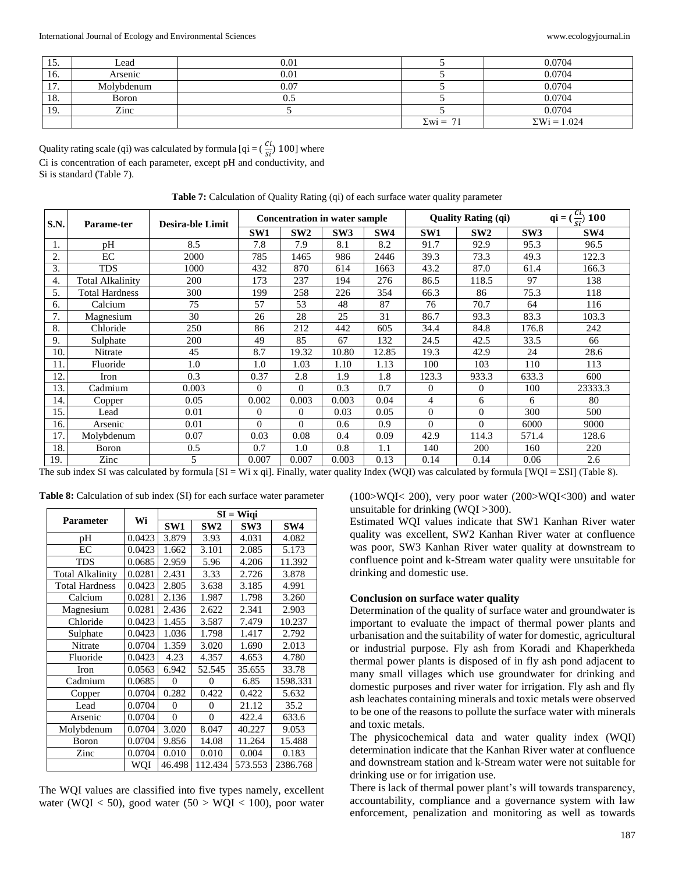| 15.                   | Lead       | 0.01 |                  | 0.0704              |
|-----------------------|------------|------|------------------|---------------------|
| 16.                   | Arsenic    | 0.01 |                  | 0.0704              |
| 1 <sub>7</sub><br>17. | Molybdenum | 0.07 |                  | 0.0704              |
| 18.                   | Boron      | v.,  |                  | 0.0704              |
| 19.                   | Zinc       |      |                  | 0.0704              |
|                       |            |      | $\Sigma$ wi = 71 | $\Sigma$ Wi = 1.024 |

Quality rating scale (qi) was calculated by formula [qi =  $(\frac{ci}{si})$  100] where Ci is concentration of each parameter, except pH and conductivity, and Si is standard (Table 7).

| S.N. | Parame-ter              | <b>Desira-ble Limit</b> | <b>Concentration in water sample</b> |          |                 |       | <b>Quality Rating (qi)</b> |                | $\left(\frac{Cl}{\rm{S1}}\right)$ 100<br>$q\mathbf{i} = 0$ |                 |
|------|-------------------------|-------------------------|--------------------------------------|----------|-----------------|-------|----------------------------|----------------|------------------------------------------------------------|-----------------|
|      |                         |                         | SW1                                  | SW2      | SW <sub>3</sub> | SW4   | SW1                        | SW2            | SW <sub>3</sub>                                            | SW <sub>4</sub> |
| 1.   | pH                      | 8.5                     | 7.8                                  | 7.9      | 8.1             | 8.2   | 91.7                       | 92.9           | 95.3                                                       | 96.5            |
| 2.   | EC                      | 2000                    | 785                                  | 1465     | 986             | 2446  | 39.3                       | 73.3           | 49.3                                                       | 122.3           |
| 3.   | <b>TDS</b>              | 1000                    | 432                                  | 870      | 614             | 1663  | 43.2                       | 87.0           | 61.4                                                       | 166.3           |
| 4.   | <b>Total Alkalinity</b> | 200                     | 173                                  | 237      | 194             | 276   | 86.5                       | 118.5          | 97                                                         | 138             |
| 5.   | <b>Total Hardness</b>   | 300                     | 199                                  | 258      | 226             | 354   | 66.3                       | 86             | 75.3                                                       | 118             |
| 6.   | Calcium                 | 75                      | 57                                   | 53       | 48              | 87    | 76                         | 70.7           | 64                                                         | 116             |
| 7.   | Magnesium               | 30                      | 26                                   | 28       | 25              | 31    | 86.7                       | 93.3           | 83.3                                                       | 103.3           |
| 8.   | Chloride                | 250                     | 86                                   | 212      | 442             | 605   | 34.4                       | 84.8           | 176.8                                                      | 242             |
| 9.   | Sulphate                | 200                     | 49                                   | 85       | 67              | 132   | 24.5                       | 42.5           | 33.5                                                       | 66              |
| 10.  | Nitrate                 | 45                      | 8.7                                  | 19.32    | 10.80           | 12.85 | 19.3                       | 42.9           | 24                                                         | 28.6            |
| 11.  | Fluoride                | 1.0                     | 1.0                                  | 1.03     | 1.10            | 1.13  | 100                        | 103            | 110                                                        | 113             |
| 12.  | Iron                    | 0.3                     | 0.37                                 | 2.8      | 1.9             | 1.8   | 123.3                      | 933.3          | 633.3                                                      | 600             |
| 13.  | Cadmium                 | 0.003                   | $\Omega$                             | $\Omega$ | 0.3             | 0.7   | $\mathbf{0}$               | $\overline{0}$ | 100                                                        | 23333.3         |
| 14.  | Copper                  | 0.05                    | 0.002                                | 0.003    | 0.003           | 0.04  | $\overline{4}$             | 6              | 6                                                          | 80              |
| 15.  | Lead                    | 0.01                    | $\Omega$                             | $\Omega$ | 0.03            | 0.05  | $\Omega$                   | $\theta$       | 300                                                        | 500             |
| 16.  | Arsenic                 | 0.01                    | $\Omega$                             | $\Omega$ | 0.6             | 0.9   | $\Omega$                   | $\Omega$       | 6000                                                       | 9000            |
| 17.  | Molybdenum              | 0.07                    | 0.03                                 | 0.08     | 0.4             | 0.09  | 42.9                       | 114.3          | 571.4                                                      | 128.6           |
| 18.  | Boron                   | 0.5                     | 0.7                                  | 1.0      | 0.8             | 1.1   | 140                        | 200            | 160                                                        | 220             |
| 19.  | Zinc                    | 5                       | 0.007                                | 0.007    | 0.003           | 0.13  | 0.14                       | 0.14           | 0.06                                                       | 2.6             |

The sub index SI was calculated by formula  $[SI = Wi x qi]$ . Finally, water quality Index (WQI) was calculated by formula  $[WQI = \Sigma SI]$  (Table 8).

**Table 8:** Calculation of sub index (SI) for each surface water parameter

|                         | Wi     | $SI = Wiqi$ |                  |                 |                 |  |  |  |
|-------------------------|--------|-------------|------------------|-----------------|-----------------|--|--|--|
| Parameter               |        | SW1         | SW <sub>2</sub>  | SW <sub>3</sub> | SW <sub>4</sub> |  |  |  |
| pН                      | 0.0423 | 3.879       | 3.93             | 4.031           | 4.082           |  |  |  |
| EC                      | 0.0423 | 1.662       | 3.101            | 2.085           | 5.173           |  |  |  |
| <b>TDS</b>              | 0.0685 | 2.959       | 5.96             | 4.206           | 11.392          |  |  |  |
| <b>Total Alkalinity</b> | 0.0281 | 2.431       | 3.33             | 2.726           | 3.878           |  |  |  |
| <b>Total Hardness</b>   | 0.0423 | 2.805       | 3.638            | 3.185           | 4.991           |  |  |  |
| Calcium                 | 0.0281 | 2.136       | 1.987            | 1.798           | 3.260           |  |  |  |
| Magnesium               | 0.0281 | 2.436       | 2.622            | 2.341           | 2.903           |  |  |  |
| Chloride                | 0.0423 | 1.455       | 3.587            | 7.479           | 10.237          |  |  |  |
| Sulphate                | 0.0423 | 1.036       | 1.798            | 1.417           | 2.792           |  |  |  |
| Nitrate                 | 0.0704 | 1.359       | 3.020            | 1.690           | 2.013           |  |  |  |
| Fluoride                | 0.0423 | 4.23        | 4.357            | 4.653           | 4.780           |  |  |  |
| Iron                    | 0.0563 | 6.942       | 52.545           | 35.655          | 33.78           |  |  |  |
| Cadmium                 | 0.0685 | $\theta$    | $\Omega$         | 6.85            | 1598.331        |  |  |  |
| Copper                  | 0.0704 | 0.282       | 0.422            | 0.422           | 5.632           |  |  |  |
| Lead                    | 0.0704 | $\theta$    | $\boldsymbol{0}$ | 21.12           | 35.2            |  |  |  |
| Arsenic                 | 0.0704 | $\Omega$    | $\theta$         | 422.4           | 633.6           |  |  |  |
| Molybdenum              | 0.0704 | 3.020       | 8.047            | 40.227          | 9.053           |  |  |  |
| Boron                   | 0.0704 | 9.856       | 14.08            | 11.264          | 15.488          |  |  |  |
| Zinc                    | 0.0704 | 0.010       | 0.010            | 0.004           | 0.183           |  |  |  |
|                         | WQI    | 46.498      | 112.434          | 573.553         | 2386.768        |  |  |  |

The WQI values are classified into five types namely, excellent water (WQI  $<$  50), good water (50  $>$  WQI  $<$  100), poor water (100>WQI< 200), very poor water (200>WQI<300) and water unsuitable for drinking (WQI >300).

Estimated WQI values indicate that SW1 Kanhan River water quality was excellent, SW2 Kanhan River water at confluence was poor, SW3 Kanhan River water quality at downstream to confluence point and k-Stream water quality were unsuitable for drinking and domestic use.

#### **Conclusion on surface water quality**

Determination of the quality of surface water and groundwater is important to evaluate the impact of thermal power plants and urbanisation and the suitability of water for domestic, agricultural or industrial purpose. Fly ash from Koradi and Khaperkheda thermal power plants is disposed of in fly ash pond adjacent to many small villages which use groundwater for drinking and domestic purposes and river water for irrigation. Fly ash and fly ash leachates containing minerals and toxic metals were observed to be one of the reasons to pollute the surface water with minerals and toxic metals.

The physicochemical data and water quality index (WQI) determination indicate that the Kanhan River water at confluence and downstream station and k-Stream water were not suitable for drinking use or for irrigation use.

There is lack of thermal power plant's will towards transparency, accountability, compliance and a governance system with law enforcement, penalization and monitoring as well as towards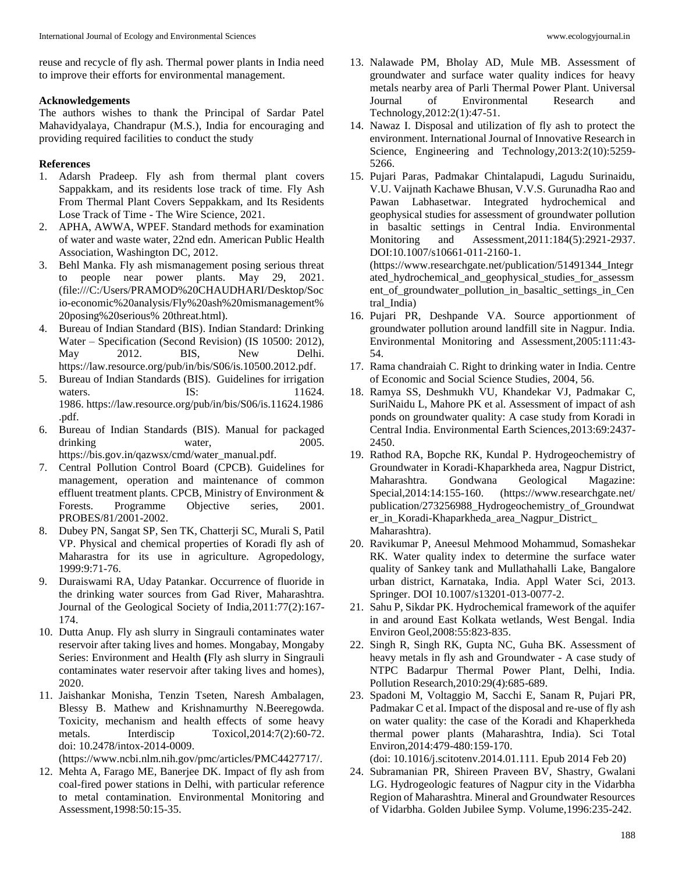# **Acknowledgements**

The authors wishes to thank the Principal of Sardar Patel Mahavidyalaya, Chandrapur (M.S.), India for encouraging and providing required facilities to conduct the study

# **References**

- 1. Adarsh Pradeep. Fly ash from thermal plant covers Sappakkam, and its residents lose track of time. Fly Ash From Thermal Plant Covers Seppakkam, and Its Residents Lose Track of Time - The Wire Science, 2021.
- 2. APHA, AWWA, WPEF. Standard methods for examination of water and waste water, 22nd edn. American Public Health Association, Washington DC, 2012.
- 3. Behl Manka. Fly ash mismanagement posing serious threat to people near power plants. May 29, 2021. (file:///C:/Users/PRAMOD%20CHAUDHARI/Desktop/Soc io-economic%20analysis/Fly%20ash%20mismanagement% 20posing%20serious% 20threat.html).
- 4. Bureau of Indian Standard (BIS). Indian Standard: Drinking Water – Specification (Second Revision) (IS 10500: 2012), May 2012. BIS, New Delhi. https://law.resource.org/pub/in/bis/S06/is.10500.2012.pdf.
- 5. Bureau of Indian Standards (BIS). Guidelines for irrigation waters. **IS:** IS: 11624. 1986. https://law.resource.org/pub/in/bis/S06/is.11624.1986 .pdf.
- 6. Bureau of Indian Standards (BIS). Manual for packaged drinking water, 2005. https://bis.gov.in/qazwsx/cmd/water\_manual.pdf.
- 7. Central Pollution Control Board (CPCB). Guidelines for management, operation and maintenance of common effluent treatment plants. CPCB, Ministry of Environment & Forests. Programme Objective series, 2001. PROBES/81/2001-2002.
- 8. Dubey PN, Sangat SP, Sen TK, Chatterji SC, Murali S, Patil VP. Physical and chemical properties of Koradi fly ash of Maharastra for its use in agriculture. Agropedology, 1999:9:71-76.
- 9. Duraiswami RA, Uday Patankar. Occurrence of fluoride in the drinking water sources from Gad River, Maharashtra. Journal of the Geological Society of India,2011:77(2):167- 174.
- 10. Dutta Anup. Fly ash slurry in Singrauli contaminates water reservoir after taking lives and homes. Mongabay, Mongaby Series: Environment and Health **(**Fly ash slurry in Singrauli contaminates water reservoir after taking lives and homes), 2020.
- 11. Jaishankar Monisha, Tenzin Tseten, Naresh Ambalagen, Blessy B. Mathew and Krishnamurthy N.Beeregowda. Toxicity, mechanism and health effects of some heavy metals. Interdiscip Toxicol, 2014:7(2):60-72. doi: 10.2478/intox-2014-0009.

(https://www.ncbi.nlm.nih.gov/pmc/articles/PMC4427717/.

12. Mehta A, Farago ME, Banerjee DK. Impact of fly ash from coal-fired power stations in Delhi, with particular reference to metal contamination. Environmental Monitoring and Assessment,1998:50:15-35.

- 13. Nalawade PM, Bholay AD, Mule MB. Assessment of groundwater and surface water quality indices for heavy metals nearby area of Parli Thermal Power Plant. Universal Journal of Environmental Research and Technology,2012:2(1):47-51.
- 14. Nawaz I. Disposal and utilization of fly ash to protect the environment. International Journal of Innovative Research in Science, Engineering and Technology,2013:2(10):5259- 5266.
- 15. Pujari Paras, Padmakar Chintalapudi, Lagudu Surinaidu, V.U. Vaijnath Kachawe Bhusan, V.V.S. Gurunadha Rao and Pawan Labhasetwar. Integrated hydrochemical and geophysical studies for assessment of groundwater pollution in basaltic settings in Central India. Environmental Monitoring and Assessment,2011:184(5):2921-2937. DOI:10.1007/s10661-011-2160-1. (https://www.researchgate.net/publication/51491344\_Integr ated\_hydrochemical\_and\_geophysical\_studies\_for\_assessm ent\_of\_groundwater\_pollution\_in\_basaltic\_settings\_in\_Cen tral\_India)
- 16. Pujari PR, Deshpande VA. Source apportionment of groundwater pollution around landfill site in Nagpur. India. Environmental Monitoring and Assessment,2005:111:43- 54.
- 17. Rama chandraiah C. Right to drinking water in India. Centre of Economic and Social Science Studies, 2004, 56.
- 18. Ramya SS, Deshmukh VU, Khandekar VJ, Padmakar C, SuriNaidu L, Mahore PK et al. Assessment of impact of ash ponds on groundwater quality: A case study from Koradi in Central India. Environmental Earth Sciences,2013:69:2437- 2450.
- 19. Rathod RA, Bopche RK, Kundal P. Hydrogeochemistry of Groundwater in Koradi-Khaparkheda area, Nagpur District, Maharashtra. Gondwana Geological Magazine: Special,2014:14:155-160. (https://www.researchgate.net/ publication/273256988\_Hydrogeochemistry\_of\_Groundwat er\_in\_Koradi-Khaparkheda\_area\_Nagpur\_District\_ Maharashtra).
- 20. Ravikumar P, Aneesul Mehmood Mohammud, Somashekar RK. Water quality index to determine the surface water quality of Sankey tank and Mullathahalli Lake, Bangalore urban district, Karnataka, India. Appl Water Sci, 2013. Springer. DOI 10.1007/s13201-013-0077-2.
- 21. Sahu P, Sikdar PK. Hydrochemical framework of the aquifer in and around East Kolkata wetlands, West Bengal. India Environ Geol,2008:55:823-835.
- 22. Singh R, Singh RK, Gupta NC, Guha BK. Assessment of heavy metals in fly ash and Groundwater - A case study of NTPC Badarpur Thermal Power Plant, Delhi, India. Pollution Research,2010:29(4):685-689.
- 23. Spadoni M, Voltaggio M, Sacchi E, Sanam R, Pujari PR, Padmakar C et al. Impact of the disposal and re-use of fly ash on water quality: the case of the Koradi and Khaperkheda thermal power plants (Maharashtra, India). Sci Total Environ,2014:479-480:159-170.

(doi: 10.1016/j.scitotenv.2014.01.111. Epub 2014 Feb 20)

24. Subramanian PR, Shireen Praveen BV, Shastry, Gwalani LG. Hydrogeologic features of Nagpur city in the Vidarbha Region of Maharashtra. Mineral and Groundwater Resources of Vidarbha. Golden Jubilee Symp. Volume,1996:235-242.